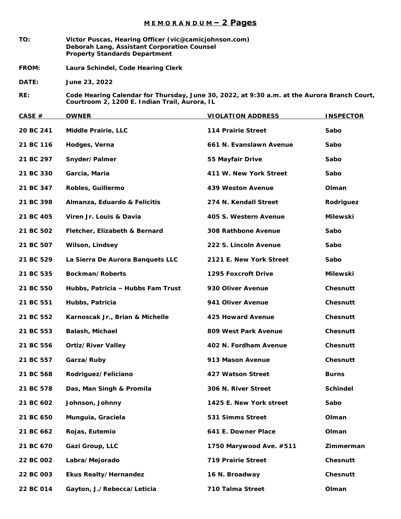## **M E M O R A N D U M – 2 Pages**

- **TO: Victor Puscas, Hearing Officer (vic@camicjohnson.com) Deborah Lang, Assistant Corporation Counsel Property Standards Department**
- **FROM: Laura Schindel, Code Hearing Clerk**
- **DATE: June 23, 2022**
- **RE: Code Hearing Calendar for Thursday, June 30, 2022, at 9:30 a.m. at the Aurora Branch Court, Courtroom 2, 1200 E. Indian Trail, Aurora, IL**

| CASE $#$  | <b>OWNER</b>                      | <b>VIOLATION ADDRESS</b> | <b>INSPECTOR</b> |
|-----------|-----------------------------------|--------------------------|------------------|
| 20 BC 241 | Middle Prairie, LLC               | 114 Prairie Street       | Sabo             |
| 21 BC 116 | Hodges, Verna                     | 661 N. Evanslawn Avenue  | Sabo             |
| 21 BC 297 | Snyder/Palmer                     | 55 Mayfair Drive         | Sabo             |
| 21 BC 330 | Garcia, Maria                     | 411 W. New York Street   | Sabo             |
| 21 BC 347 | Robles, Guillermo                 | 439 Weston Avenue        | Olman            |
| 21 BC 398 | Almanza, Eduardo & Felicitis      | 274 N. Kendall Street    | Rodriguez        |
| 21 BC 405 | Viren Jr. Louis & Davia           | 405 S. Western Avenue    | Milewski         |
| 21 BC 502 | Fletcher, Elizabeth & Bernard     | 308 Rathbone Avenue      | Sabo             |
| 21 BC 507 | Wilson, Lindsey                   | 222 S. Lincoln Avenue    | Sabo             |
| 21 BC 529 | La Sierra De Aurora Banquets LLC  | 2121 E. New York Street  | Sabo             |
| 21 BC 535 | Bockman/Roberts                   | 1295 Foxcroft Drive      | Milewski         |
| 21 BC 550 | Hubbs, Patricia - Hubbs Fam Trust | 930 Oliver Avenue        | Chesnutt         |
| 21 BC 551 | Hubbs, Patricia                   | 941 Oliver Avenue        | Chesnutt         |
| 21 BC 552 | Karnoscak Jr., Brian & Michelle   | 425 Howard Avenue        | Chesnutt         |
| 21 BC 553 | Balash, Michael                   | 809 West Park Avenue     | Chesnutt         |
| 21 BC 556 | <b>Ortiz/River Valley</b>         | 402 N. Fordham Avenue    | Chesnutt         |
| 21 BC 557 | Garza/Ruby                        | 913 Mason Avenue         | Chesnutt         |
| 21 BC 568 | Rodriguez/Feliciano               | 427 Watson Street        | <b>Burns</b>     |
| 21 BC 578 | Das, Man Singh & Promila          | 306 N. River Street      | Schindel         |
| 21 BC 602 | Johnson, Johnny                   | 1425 E. New York street  | Sabo             |
| 21 BC 650 | Munguia, Graciela                 | 531 Simms Street         | Olman            |
| 21 BC 662 | Rojas, Eutemio                    | 641 E. Downer Place      | Olman            |
| 21 BC 670 | Gazi Group, LLC                   | 1750 Marywood Ave. #511  | Zimmerman        |
| 22 BC 002 | Labra/Mejorado                    | 719 Prairie Street       | Chesnutt         |
| 22 BC 003 | Ekus Realty/Hernandez             | 16 N. Broadway           | Chesnutt         |
| 22 BC 014 | Gayton, J./Rebecca/Leticia        | 710 Talma Street         | Olman            |